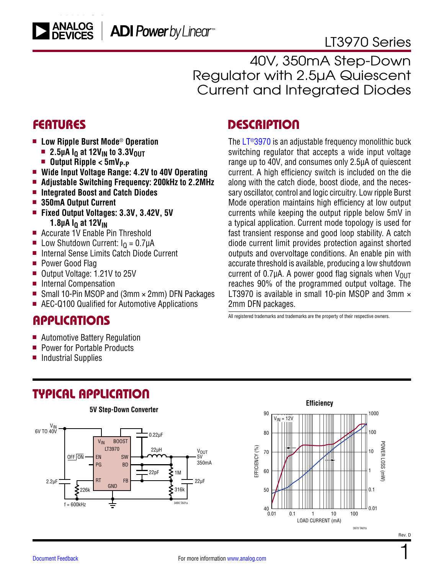# [LT3970 Series](https://www.analog.com/LT3970?doc=LT3970.pdf)

40V, 350mA Step-Down Regulator with 2.5µA Quiescent Current and Integrated Diodes

### FEATURES

- Low Ripple Burst Mode<sup>®</sup> Operation
	- **2.5µA I<sub>O</sub>** at 12V<sub>IN</sub> to 3.3V<sub>OUT</sub>
	- <sup>n</sup> **Output Ripple < 5mVP-P**
- <sup>n</sup> **Wide Input Voltage Range: 4.2V to 40V Operating**
- <sup>n</sup> **Adjustable Switching Frequency: 200kHz to 2.2MHz**
- Integrated Boost and Catch Diodes
- $\blacksquare$  **350mA Output Current**
- <sup>n</sup> **Fixed Output Voltages: 3.3V, 3.42V, 5V 1.8µA I<sub>Q</sub> at 12V<sub>IN</sub>**
- Accurate 1V Enable Pin Threshold
- **n** Low Shutdown Current:  $I<sub>0</sub> = 0.7 \mu A$
- Internal Sense Limits Catch Diode Current
- Power Good Flag
- Output Voltage: 1.21V to 25V
- Internal Compensation
- Small 10-Pin MSOP and (3mm  $\times$  2mm) DFN Packages
- AEC-Q100 Qualified for Automotive Applications

### **APPLICATIONS**

- $\blacksquare$  Automotive Battery Regulation
- Power for Portable Products
- <sup>n</sup> Industrial Supplies

## TYPICAL APPLICATION



### **DESCRIPTION**

The  $LT<sup>®</sup>3970$  is an adjustable frequency monolithic buck switching regulator that accepts a wide input voltage range up to 40V, and consumes only 2.5µA of quiescent current. A high efficiency switch is included on the die along with the catch diode, boost diode, and the necessary oscillator, control and logic circuitry. Low ripple Burst Mode operation maintains high efficiency at low output currents while keeping the output ripple below 5mV in a typical application. Current mode topology is used for fast transient response and good loop stability. A catch diode current limit provides protection against shorted outputs and overvoltage conditions. An enable pin with accurate threshold is available, producing a low shutdown current of 0.7 $\mu$ A. A power good flag signals when  $V_{\text{OUT}}$ reaches 90% of the programmed output voltage. The LT3970 is available in small 10-pin MSOP and 3mm  $\times$ 2mm DFN packages.

All registered trademarks and trademarks are the property of their respective owners.



For more information [www.analog.com](https://www.analog.com)

1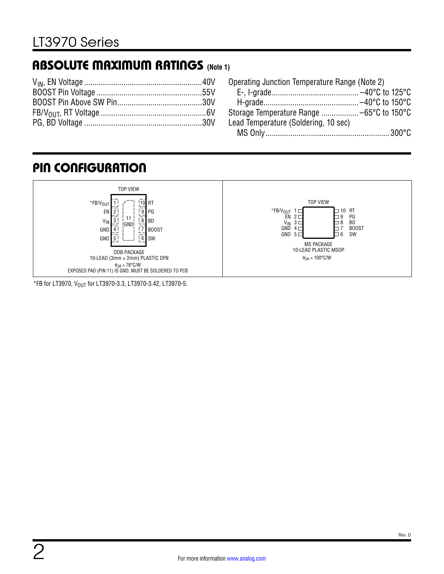# <span id="page-1-0"></span>ABSOLUTE MAXIMUM RATINGS **(Note 1)**

| Operating Junction Temperature Range (Note 2) |  |
|-----------------------------------------------|--|
|                                               |  |
|                                               |  |
|                                               |  |
| Lead Temperature (Soldering, 10 sec)          |  |
|                                               |  |

# PIN CONFIGURATION



 $*$ FB for LT3970, V<sub>OUT</sub> for LT3970-3.3, LT3970-3.42, LT3970-5.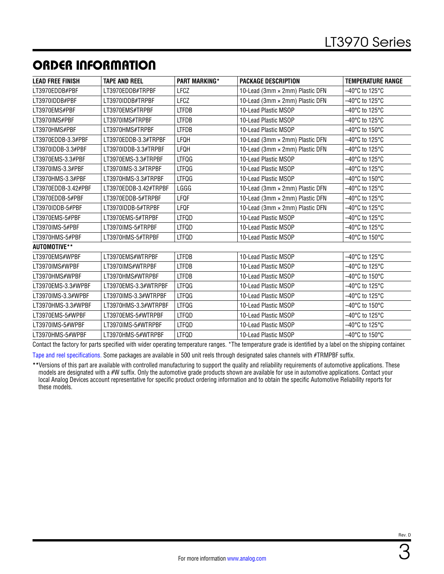# <span id="page-2-0"></span>ORDER INFORMATION

| <b>LEAD FREE FINISH</b> | <b>TAPE AND REEL</b>  | <b>PART MARKING*</b> | <b>PACKAGE DESCRIPTION</b>      | <b>TEMPERATURE RANGE</b>            |
|-------------------------|-----------------------|----------------------|---------------------------------|-------------------------------------|
| LT3970EDDB#PBF          | LT3970EDDB#TRPBF      | <b>LFCZ</b>          | 10-Lead (3mm × 2mm) Plastic DFN | –40°C to 125°C                      |
| LT3970IDDB#PBF          | LT3970IDDB#TRPBF      | LFCZ                 | 10-Lead (3mm × 2mm) Plastic DFN | –40°C to 125°C                      |
| LT3970EMS#PBF           | LT3970EMS#TRPBF       | <b>LTFDB</b>         | 10-Lead Plastic MSOP            | -40°C to 125°C                      |
| LT3970IMS#PBF           | LT3970IMS#TRPBF       | <b>LTFDB</b>         | 10-Lead Plastic MSOP            | -40°C to 125°C                      |
| LT3970HMS#PBF           | LT3970HMS#TRPBF       | <b>LTFDB</b>         | 10-Lead Plastic MSOP            | –40°C to 150°C                      |
| LT3970EDDB-3.3#PBF      | LT3970EDDB-3.3#TRPBF  | LFQH                 | 10-Lead (3mm × 2mm) Plastic DFN | –40°C to 125°C                      |
| LT3970IDDB-3.3#PBF      | LT3970IDDB-3.3#TRPBF  | LFQH                 | 10-Lead (3mm × 2mm) Plastic DFN | –40°C to 125°C                      |
| LT3970EMS-3.3#PBF       | LT3970EMS-3.3#TRPBF   | <b>LTFQG</b>         | 10-Lead Plastic MSOP            | –40°C to 125°C                      |
| LT3970IMS-3.3#PBF       | LT3970IMS-3.3#TRPBF   | LTFQG                | 10-Lead Plastic MSOP            | –40°C to 125°C                      |
| LT3970HMS-3.3#PBF       | LT3970HMS-3.3#TRPBF   | <b>LTFQG</b>         | 10-Lead Plastic MSOP            | –40°C to 150°C                      |
| LT3970EDDB-3.42#PBF     | LT3970EDDB-3.42#TRPBF | LGGG                 | 10-Lead (3mm × 2mm) Plastic DFN | –40°C to 125°C                      |
| LT3970EDDB-5#PBF        | LT3970EDDB-5#TRPBF    | LFQF                 | 10-Lead (3mm × 2mm) Plastic DFN | –40°C to 125°C                      |
| LT3970IDDB-5#PBF        | LT3970IDDB-5#TRPBF    | LFQF                 | 10-Lead (3mm × 2mm) Plastic DFN | –40°C to 125°C                      |
| LT3970EMS-5#PBF         | LT3970EMS-5#TRPBF     | <b>LTFQD</b>         | 10-Lead Plastic MSOP            | $-40^{\circ}$ C to 125 $^{\circ}$ C |
| LT3970IMS-5#PBF         | LT3970IMS-5#TRPBF     | <b>LTFQD</b>         | 10-Lead Plastic MSOP            | -40°C to 125°C                      |
| LT3970HMS-5#PBF         | LT3970HMS-5#TRPBF     | <b>LTFQD</b>         | 10-Lead Plastic MSOP            | $-40^{\circ}$ C to 150 $^{\circ}$ C |
| AUTOMOTIVE**            |                       |                      |                                 |                                     |
| LT3970EMS#WPBF          | LT3970EMS#WTRPBF      | <b>LTFDB</b>         | 10-Lead Plastic MSOP            | -40°C to 125°C                      |
| LT3970IMS#WPBF          | LT3970IMS#WTRPBF      | <b>LTFDB</b>         | 10-Lead Plastic MSOP            | -40°C to 125°C                      |
| LT3970HMS#WPBF          | LT3970HMS#WTRPBF      | <b>LTFDB</b>         | 10-Lead Plastic MSOP            | -40°C to 150°C                      |
| LT3970EMS-3.3#WPBF      | LT3970EMS-3.3#WTRPBF  | LTFQG                | 10-Lead Plastic MSOP            | $-40^{\circ}$ C to 125 $^{\circ}$ C |
| LT3970IMS-3.3#WPBF      | LT3970IMS-3.3#WTRPBF  | <b>LTFQG</b>         | 10-Lead Plastic MSOP            | -40°C to 125°C                      |
| LT3970HMS-3.3#WPBF      | LT3970HMS-3.3#WTRPBF  | <b>LTFQG</b>         | 10-Lead Plastic MSOP            | -40°C to 150°C                      |
| LT3970EMS-5#WPBF        | LT3970EMS-5#WTRPBF    | LTFQD                | 10-Lead Plastic MSOP            | -40°C to 125°C                      |
| LT3970IMS-5#WPBF        | LT3970IMS-5#WTRPBF    | LTFQD                | 10-Lead Plastic MSOP            | –40°C to 125°C                      |
| LT3970HMS-5#WPBF        | LT3970HMS-5#WTRPBF    | LTFQD                | 10-Lead Plastic MSOP            | –40°C to 150°C                      |

Contact the factory for parts specified with wider operating temperature ranges. \*The temperature grade is identified by a label on the shipping container.

[Tape and reel specifications](https://www.analog.com/media/en/package-pcb-resources/package/tape-reel-rev-n.pdf). Some packages are available in 500 unit reels through designated sales channels with #TRMPBF suffix.

**\*\***Versions of this part are available with controlled manufacturing to support the quality and reliability requirements of automotive applications. These models are designated with a #W suffix. Only the automotive grade products shown are available for use in automotive applications. Contact your local Analog Devices account representative for specific product ordering information and to obtain the specific Automotive Reliability reports for these models.

3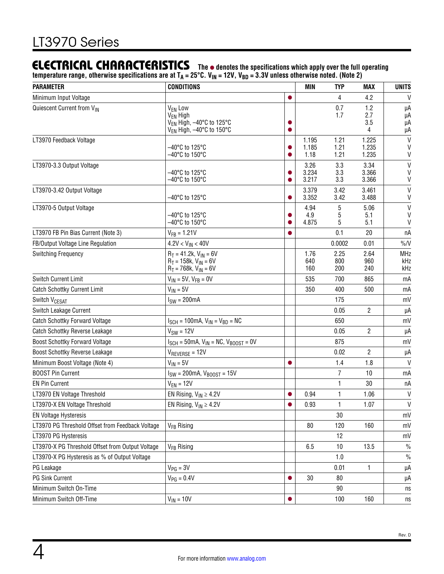# <span id="page-3-0"></span>**ELECTRICAL CHARACTERISTICS** The  $\bullet$  denotes the specifications which apply over the full operating

**temperature range, otherwise specifications are at TA = 25°C. VIN = 12V, VBD = 3.3V unless otherwise noted. (Note 2)**

| <b>PARAMETER</b><br><b>CONDITIONS</b>            |                                                                                                                             |   | <b>MIN</b>             | <b>TYP</b>           | MAX                     | <b>UNITS</b>                      |
|--------------------------------------------------|-----------------------------------------------------------------------------------------------------------------------------|---|------------------------|----------------------|-------------------------|-----------------------------------|
| Minimum Input Voltage                            |                                                                                                                             |   |                        | 4                    | 4.2                     | $\mathsf{V}$                      |
| Quiescent Current from VIN                       | V <sub>EN</sub> Low<br>V <sub>EN</sub> High<br>V <sub>FN</sub> High, -40°C to 125°C<br>V <sub>FN</sub> High, -40°C to 150°C |   |                        | 0.7<br>1.7           | 1.2<br>2.7<br>3.5<br>4  | μA<br>μA<br>μA<br>μA              |
| LT3970 Feedback Voltage                          | –40°C to 125°C<br>–40°C to 150°C                                                                                            |   | 1.195<br>1.185<br>1.18 | 1.21<br>1.21<br>1.21 | 1.225<br>1.235<br>1.235 | $\mathsf{V}$<br>V<br>$\mathsf{V}$ |
| LT3970-3.3 Output Voltage                        | $-40^{\circ}$ C to 125 $^{\circ}$ C<br>$-40^{\circ}$ C to 150 $^{\circ}$ C                                                  |   | 3.26<br>3.234<br>3.217 | 3.3<br>3.3<br>3.3    | 3.34<br>3.366<br>3.366  | $\mathsf{V}$<br>$\mathsf{V}$<br>V |
| LT3970-3.42 Output Voltage                       | $-40^{\circ}$ C to 125 $^{\circ}$ C                                                                                         |   | 3.379<br>3.352         | 3.42<br>3.42         | 3.461<br>3.488          | $\mathsf{V}$<br>V                 |
| LT3970-5 Output Voltage                          | $-40^{\circ}$ C to 125 $^{\circ}$ C<br>-40°C to 150°C                                                                       |   | 4.94<br>4.9<br>4.875   | 5<br>5<br>5          | 5.06<br>5.1<br>5.1      | $\mathsf{V}$<br>V<br>V            |
| LT3970 FB Pin Bias Current (Note 3)              | $V_{FB} = 1.21V$                                                                                                            |   |                        | 0.1                  | 20                      | пA                                |
| FB/Output Voltage Line Regulation                | $4.2V < V_{IN} < 40V$                                                                                                       |   |                        | 0.0002               | 0.01                    | $\%N$                             |
| Switching Frequency                              | $R_T = 41.2k$ , $V_{IN} = 6V$<br>$R_T = 158k$ , $V_{IN} = 6V$<br>$R_T = 768k$ , $V_{IN} = 6V$                               |   | 1.76<br>640<br>160     | 2.25<br>800<br>200   | 2.64<br>960<br>240      | <b>MHz</b><br>kHz<br>kHz          |
| <b>Switch Current Limit</b>                      | $V_{IN}$ = 5V, $V_{FB}$ = 0V                                                                                                |   | 535                    | 700                  | 865                     | mA                                |
| <b>Catch Schottky Current Limit</b>              | $V_{IN} = 5V$                                                                                                               |   | 350                    | 400                  | 500                     | mA                                |
| Switch V <sub>CESAT</sub>                        | $I_{SW} = 200mA$                                                                                                            |   |                        | 175                  |                         | mV                                |
| Switch Leakage Current                           |                                                                                                                             |   |                        | 0.05                 | 2                       | μA                                |
| <b>Catch Schottky Forward Voltage</b>            | $I_{SCH}$ = 100mA, $V_{IN}$ = $V_{BD}$ = NC                                                                                 |   |                        | 650                  |                         | mV                                |
| <b>Catch Schottky Reverse Leakage</b>            | $V_{SW} = 12V$                                                                                                              |   |                        | 0.05                 | 2                       | μA                                |
| <b>Boost Schottky Forward Voltage</b>            | $I_{SCH} = 50$ mA, $V_{IN} = NC$ , $V_{BOOST} = OV$                                                                         |   |                        | 875                  |                         | mV                                |
| <b>Boost Schottky Reverse Leakage</b>            | $V_{REVERSE} = 12V$                                                                                                         |   |                        | 0.02                 | 2                       | μA                                |
| Minimum Boost Voltage (Note 4)                   | $V_{IN} = 5V$                                                                                                               | 0 |                        | 1.4                  | 1.8                     | $\mathsf{V}$                      |
| <b>BOOST Pin Current</b>                         | $I_{SW}$ = 200mA, $V_{B00ST}$ = 15V                                                                                         |   |                        | $\overline{7}$       | 10                      | mA                                |
| <b>EN Pin Current</b>                            | $V_{EN} = 12V$                                                                                                              |   |                        | 1                    | 30                      | пA                                |
| LT3970 EN Voltage Threshold                      | EN Rising, $V_{IN} \ge 4.2V$                                                                                                |   | 0.94                   | 1                    | 1.06                    | $\mathsf{V}$                      |
| LT3970-X EN Voltage Threshold                    | EN Rising, $V_{IN} \ge 4.2V$                                                                                                |   | 0.93                   | 1                    | 1.07                    | $\mathsf{V}$                      |
| <b>EN Voltage Hysteresis</b>                     |                                                                                                                             |   |                        | 30                   |                         | mV                                |
| LT3970 PG Threshold Offset from Feedback Voltage | V <sub>FB</sub> Rising                                                                                                      |   | 80                     | 120                  | 160                     | mV                                |
| LT3970 PG Hysteresis                             |                                                                                                                             |   |                        | 12                   |                         | mV                                |
| LT3970-X PG Threshold Offset from Output Voltage | V <sub>FB</sub> Rising                                                                                                      |   | 6.5                    | 10                   | 13.5                    | $\frac{0}{0}$                     |
| LT3970-X PG Hysteresis as % of Output Voltage    |                                                                                                                             |   |                        | 1.0                  |                         | $\frac{0}{0}$                     |
| PG Leakage                                       | $V_{PG} = 3V$                                                                                                               |   |                        | 0.01                 | 1                       | μA                                |
| PG Sink Current                                  | $V_{PG} = 0.4V$                                                                                                             |   | 30                     | 80                   |                         | μA                                |
| Minimum Switch On-Time                           |                                                                                                                             |   |                        | 90                   |                         | ns                                |
| Minimum Switch Off-Time                          | $V_{IN} = 10V$                                                                                                              |   |                        | 100                  | 160                     | ns                                |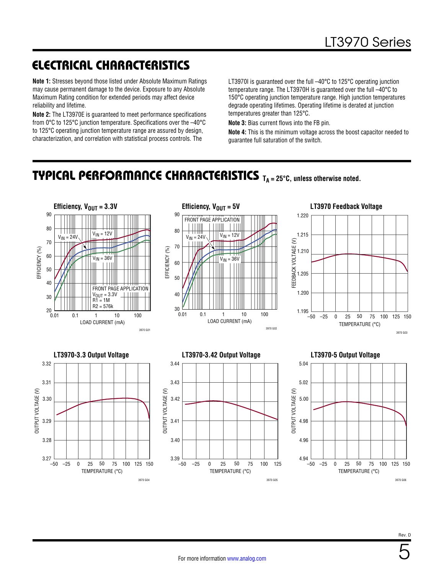# ELECTRICAL CHARACTERISTICS

**Note 1:** Stresses beyond those listed under [Absolute Maximum Ratings](#page-1-0)  may cause permanent damage to the device. Exposure to any Absolute Maximum Rating condition for extended periods may affect device reliability and lifetime.

**Note 2:** The LT3970E is guaranteed to meet performance specifications from 0°C to 125°C junction temperature. Specifications over the –40°C to 125°C operating junction temperature range are assured by design, characterization, and correlation with statistical process controls. The

3970 G04

LT3970I is quaranteed over the full -40°C to 125°C operating junction temperature range. The LT3970H is guaranteed over the full –40°C to 150°C operating junction temperature range. High junction temperatures degrade operating lifetimes. Operating lifetime is derated at junction temperatures greater than 125°C.

**Note 3:** Bias current flows into the FB pin.

**Note 4:** This is the minimum voltage across the boost capacitor needed to guarantee full saturation of the switch.

### <span id="page-4-0"></span>TYPICAL PERFORMANCE CHARACTERISTICS **TA = 25°C, unless otherwise noted.**



3970 G06

3970 G05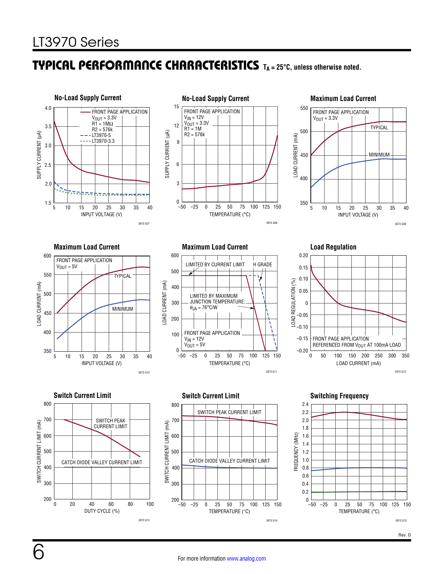### TYPICAL PERFORMANCE CHARACTERISTICS **TA = 25°C, unless otherwise noted.**

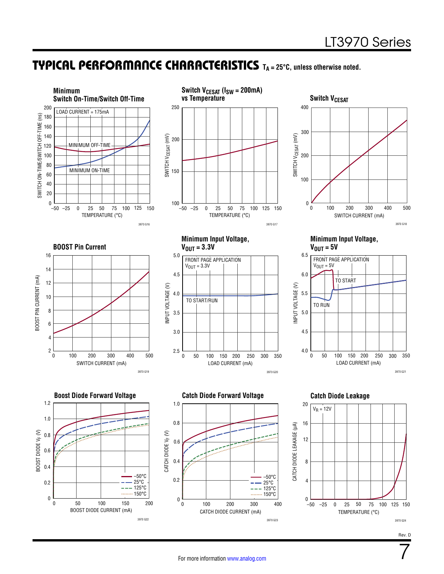7

### TYPICAL PERFORMANCE CHARACTERISTICS **TA = 25°C, unless otherwise noted.**

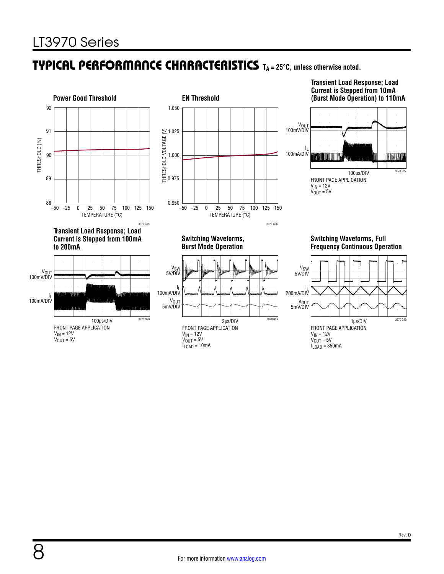### TYPICAL PERFORMANCE CHARACTERISTICS **TA <sup>=</sup> 25°C, unless otherwise noted.**

![](_page_7_Figure_2.jpeg)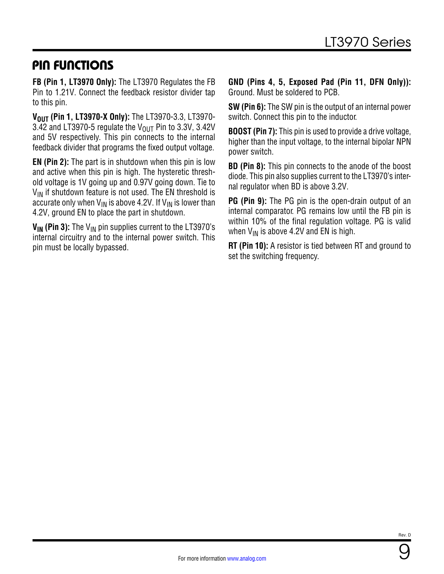### PIN FUNCTIONS

**FB (Pin 1, LT3970 Only):** The LT3970 Regulates the FB Pin to 1.21V. Connect the feedback resistor divider tap to this pin.

**VOUT (Pin 1, LT3970-X Only):** The LT3970-3.3, LT3970-3.42 and LT3970-5 regulate the  $V_{\text{OUT}}$  Pin to 3.3V, 3.42V and 5V respectively. This pin connects to the internal feedback divider that programs the fixed output voltage.

**EN (Pin 2):** The part is in shutdown when this pin is low and active when this pin is high. The hysteretic threshold voltage is 1V going up and 0.97V going down. Tie to  $V_{IN}$  if shutdown feature is not used. The EN threshold is accurate only when  $V_{IN}$  is above 4.2V. If  $V_{IN}$  is lower than 4.2V, ground EN to place the part in shutdown.

**V<sub>IN</sub>** (Pin 3): The V<sub>IN</sub> pin supplies current to the LT3970's internal circuitry and to the internal power switch. This pin must be locally bypassed.

**GND (Pins 4, 5, Exposed Pad (Pin 11, DFN Only)):** Ground. Must be soldered to PCB.

**SW (Pin 6):** The SW pin is the output of an internal power switch. Connect this pin to the inductor.

**BOOST (Pin 7):** This pin is used to provide a drive voltage, higher than the input voltage, to the internal bipolar NPN power switch.

**BD (Pin 8):** This pin connects to the anode of the boost diode. This pin also supplies current to the LT3970's internal regulator when BD is above 3.2V.

**PG (Pin 9):** The PG pin is the open-drain output of an internal comparator. PG remains low until the FB pin is within 10% of the final regulation voltage. PG is valid when  $V_{IN}$  is above 4.2V and EN is high.

**RT (Pin 10):** A resistor is tied between RT and ground to set the switching frequency.

9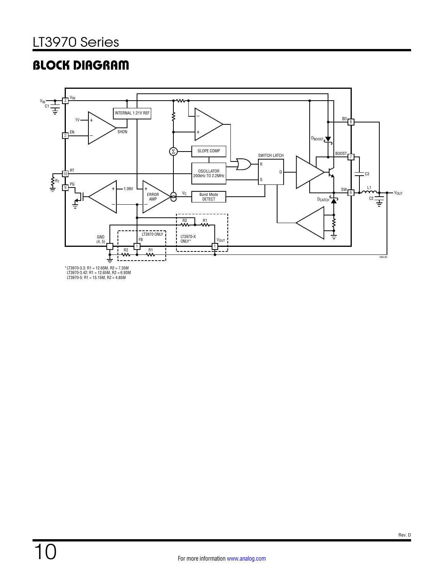# <span id="page-9-0"></span>BLOCK DIAGRAM

![](_page_9_Figure_2.jpeg)

\* LT3970-3.3: R1 = 12.65M, R2 = 7.35M LT3970-3.42: R1 = 12.65M, R2 = 6.93M LT3970-5: R1 = 15.15M, R2 = 4.85M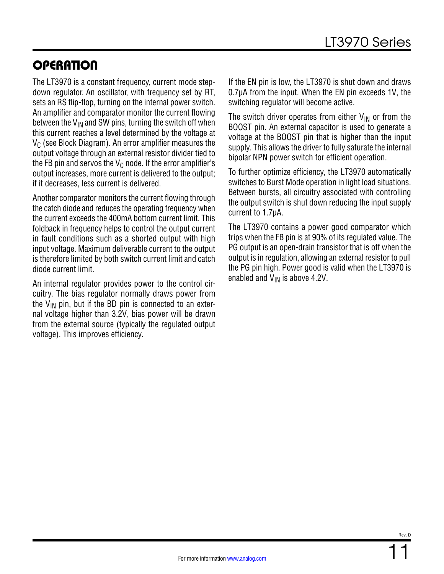# **OPERATION**

The LT3970 is a constant frequency, current mode stepdown regulator. An oscillator, with frequency set by RT, sets an RS flip-flop, turning on the internal power switch. An amplifier and comparator monitor the current flowing between the  $V_{IN}$  and SW pins, turning the switch off when this current reaches a level determined by the voltage at  $V_C$  (see [Block Diagram](#page-9-0)). An error amplifier measures the output voltage through an external resistor divider tied to the FB pin and servos the  $V_C$  node. If the error amplifier's output increases, more current is delivered to the output; if it decreases, less current is delivered.

Another comparator monitors the current flowing through the catch diode and reduces the operating frequency when the current exceeds the 400mA bottom current limit. This foldback in frequency helps to control the output current in fault conditions such as a shorted output with high input voltage. Maximum deliverable current to the output is therefore limited by both switch current limit and catch diode current limit.

An internal regulator provides power to the control circuitry. The bias regulator normally draws power from the V<sub>IN</sub> pin, but if the BD pin is connected to an external voltage higher than 3.2V, bias power will be drawn from the external source (typically the regulated output voltage). This improves efficiency.

If the EN pin is low, the LT3970 is shut down and draws 0.7µA from the input. When the EN pin exceeds 1V, the switching regulator will become active.

The switch driver operates from either  $V_{IN}$  or from the BOOST pin. An external capacitor is used to generate a voltage at the BOOST pin that is higher than the input supply. This allows the driver to fully saturate the internal bipolar NPN power switch for efficient operation.

To further optimize efficiency, the LT3970 automatically switches to Burst Mode operation in light load situations. Between bursts, all circuitry associated with controlling the output switch is shut down reducing the input supply current to 1.7µA.

The LT3970 contains a power good comparator which trips when the FB pin is at 90% of its regulated value. The PG output is an open-drain transistor that is off when the output is in regulation, allowing an external resistor to pull the PG pin high. Power good is valid when the LT3970 is enabled and  $V_{IN}$  is above 4.2V.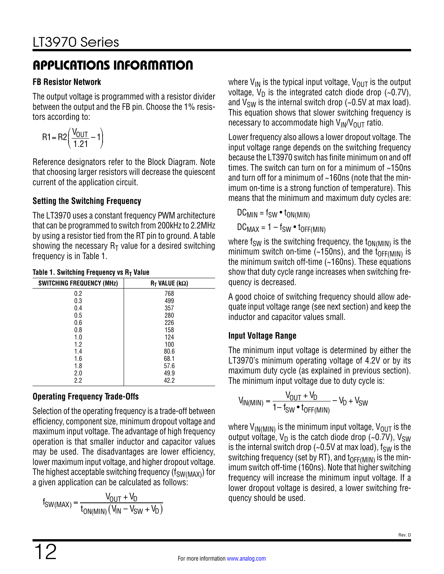#### **FB Resistor Network**

The output voltage is programmed with a resistor divider between the output and the FB pin. Choose the 1% resistors according to:

$$
R1 = R2 \left( \frac{V_{OUT}}{1.21} - 1 \right)
$$

Reference designators refer to the [Block Diagram.](#page-9-0) Note that choosing larger resistors will decrease the quiescent current of the application circuit.

### **Setting the Switching Frequency**

The LT3970 uses a constant frequency PWM architecture that can be programmed to switch from 200kHz to 2.2MHz by using a resistor tied from the RT pin to ground. A table showing the necessary  $R_T$  value for a desired switching frequency is in [Table 1](#page-11-0).

| <b>SWITCHING FREQUENCY (MHz)</b> | $R_T$ VALUE (k $\Omega$ ) |
|----------------------------------|---------------------------|
| 0.2                              | 768                       |
| 0.3                              | 499                       |
| 0.4                              | 357                       |
| 0.5                              | 280                       |
| 0.6                              | 226                       |
| 0.8                              | 158                       |
| 1.0                              | 124                       |
| 1.2                              | 100                       |
| 1.4                              | 80.6                      |
| 1.6                              | 68.1                      |
| 1.8                              | 57.6                      |
| 2.0                              | 49.9                      |
| 2.2                              | 42.2                      |

#### <span id="page-11-0"></span>**Table 1. Switching Frequency vs RT Value**

### **Operating Frequency Trade-Offs**

Selection of the operating frequency is a trade-off between efficiency, component size, minimum dropout voltage and maximum input voltage. The advantage of high frequency operation is that smaller inductor and capacitor values may be used. The disadvantages are lower efficiency, lower maximum input voltage, and higher dropout voltage. The highest acceptable switching frequency  $(f_{SW(MAX)})$  for a given application can be calculated as follows:

$$
f_{SW(MAX)} = \frac{V_{OUT} + V_D}{t_{ON(MIN)}(V_{IN} - V_{SW} + V_D)}
$$

where  $V_{IN}$  is the typical input voltage,  $V_{OUT}$  is the output voltage,  $V_D$  is the integrated catch diode drop (~0.7V), and  $V_{SW}$  is the internal switch drop (~0.5V at max load). This equation shows that slower switching frequency is necessary to accommodate high  $V_{IN}/V_{OUT}$  ratio.

Lower frequency also allows a lower dropout voltage. The input voltage range depends on the switching frequency because the LT3970 switch has finite minimum on and off times. The switch can turn on for a minimum of ~150ns and turn off for a minimum of ~160ns (note that the minimum on-time is a strong function of temperature). This means that the minimum and maximum duty cycles are:

 $DC_{MIN} = f_{SW} \cdot t_{ON(MIN)}$  $DC_{MAX} = 1 - f_{SW} \cdot t_{OFF(MIN)}$ 

where  $f_{SW}$  is the switching frequency, the  $t_{ON(MIN)}$  is the minimum switch on-time (~150ns), and the  $t_{\text{OFF(MIN)}}$  is the minimum switch off-time (~160ns). These equations show that duty cycle range increases when switching frequency is decreased.

A good choice of switching frequency should allow adequate input voltage range (see next section) and keep the inductor and capacitor values small.

### **Input Voltage Range**

The minimum input voltage is determined by either the LT3970's minimum operating voltage of 4.2V or by its maximum duty cycle (as explained in previous section). The minimum input voltage due to duty cycle is:

$$
V_{IN(MIN)} = \frac{V_{OUT} + V_D}{1 - f_{SW} \cdot t_{OFF(MIN)}} - V_D + V_{SW}
$$

where  $V_{IN(MIN)}$  is the minimum input voltage,  $V_{OUT}$  is the output voltage,  $V_D$  is the catch diode drop (~0.7V),  $V_{SW}$ is the internal switch drop (~0.5V at max load),  $f_{SW}$  is the switching frequency (set by RT), and  $t_{OFF(MIN)}$  is the minimum switch off-time (160ns). Note that higher switching frequency will increase the minimum input voltage. If a lower dropout voltage is desired, a lower switching frequency should be used.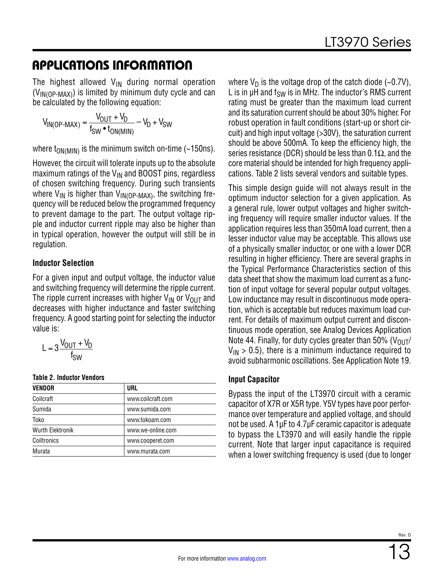The highest allowed  $V_{IN}$  during normal operation  $(V_{IN(OP-MAX)})$  is limited by minimum duty cycle and can be calculated by the following equation:

$$
V_{IN(OP-MAX)} = \frac{V_{OUT} + V_D}{f_{SW} \cdot t_{ON(MIN)}} - V_D + V_{SW}
$$

where  $t_{ON(MIN)}$  is the minimum switch on-time (~150ns).

However, the circuit will tolerate inputs up to the absolute maximum ratings of the  $V_{IN}$  and BOOST pins, regardless of chosen switching frequency. During such transients where  $V_{IN}$  is higher than  $V_{IN(OP-MAX)}$ , the switching frequency will be reduced below the programmed frequency to prevent damage to the part. The output voltage ripple and inductor current ripple may also be higher than in typical operation, however the output will still be in regulation.

#### **Inductor Selection**

For a given input and output voltage, the inductor value and switching frequency will determine the ripple current. The ripple current increases with higher  $V_{IN}$  or  $V_{OUT}$  and decreases with higher inductance and faster switching frequency. A good starting point for selecting the inductor value is:

$$
L = 3 \frac{V_{OUT} + V_D}{f_{SW}}
$$

<span id="page-12-0"></span>**Table 2. Inductor Vendors**

| <b>VENDOR</b>           | URL               |
|-------------------------|-------------------|
| Coilcraft               | www.coilcraft.com |
| Sumida                  | www.sumida.com    |
| Toko                    | www.tokoam.com    |
| <b>Wurth Elektronik</b> | www.we-online.com |
| Coiltronics             | www.cooperet.com  |
| Murata                  | www.murata.com    |

where  $V_D$  is the voltage drop of the catch diode (~0.7V), L is in  $\mu$ H and  $f_{SW}$  is in MHz. The inductor's RMS current rating must be greater than the maximum load current and its saturation current should be about 30% higher. For robust operation in fault conditions (start-up or short circuit) and high input voltage (>30V), the saturation current should be above 500mA. To keep the efficiency high, the series resistance (DCR) should be less than 0.1 $\Omega$ , and the core material should be intended for high frequency applications. [Table 2](#page-12-0) lists several vendors and suitable types.

This simple design guide will not always result in the optimum inductor selection for a given application. As a general rule, lower output voltages and higher switching frequency will require smaller inductor values. If the application requires less than 350mA load current, then a lesser inductor value may be acceptable. This allows use of a physically smaller inductor, or one with a lower DCR resulting in higher efficiency. There are several graphs in the [Typical Performance Characteristics](#page-4-0) section of this data sheet that show the maximum load current as a function of input voltage for several popular output voltages. Low inductance may result in discontinuous mode operation, which is acceptable but reduces maximum load current. For details of maximum output current and discontinuous mode operation, see Analog Devices Application Note 44. Finally, for duty cycles greater than 50% ( $V_{OIII}/$  $V_{IN}$  > 0.5), there is a minimum inductance required to avoid subharmonic oscillations. See Application Note 19.

#### **Input Capacitor**

Bypass the input of the LT3970 circuit with a ceramic capacitor of X7R or X5R type. Y5V types have poor performance over temperature and applied voltage, and should not be used. A 1µF to 4.7µF ceramic capacitor is adequate to bypass the LT3970 and will easily handle the ripple current. Note that larger input capacitance is required when a lower switching frequency is used (due to longer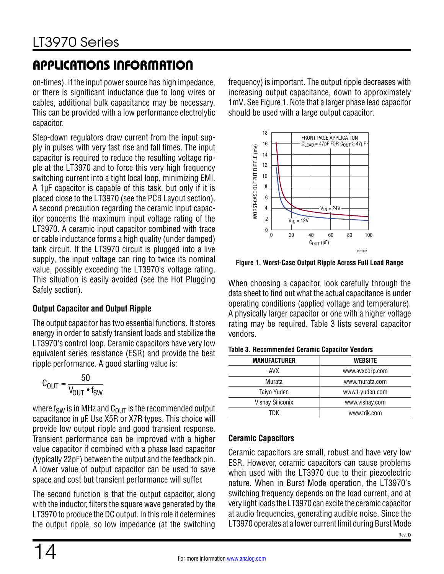on-times). If the input power source has high impedance, or there is significant inductance due to long wires or cables, additional bulk capacitance may be necessary. This can be provided with a low performance electrolytic capacitor.

Step-down regulators draw current from the input supply in pulses with very fast rise and fall times. The input capacitor is required to reduce the resulting voltage ripple at the LT3970 and to force this very high frequency switching current into a tight local loop, minimizing EMI. A 1µF capacitor is capable of this task, but only if it is placed close to the LT3970 (see the [PCB Layout](#page-17-0) section). A second precaution regarding the ceramic input capacitor concerns the maximum input voltage rating of the LT3970. A ceramic input capacitor combined with trace or cable inductance forms a high quality (under damped) tank circuit. If the LT3970 circuit is plugged into a live supply, the input voltage can ring to twice its nominal value, possibly exceeding the LT3970's voltage rating. This situation is easily avoided (see the [Hot Plugging](#page-17-1) [Safely](#page-17-1) section).

### **Output Capacitor and Output Ripple**

The output capacitor has two essential functions. It stores energy in order to satisfy transient loads and stabilize the LT3970's control loop. Ceramic capacitors have very low equivalent series resistance (ESR) and provide the best ripple performance. A good starting value is:

$$
C_{\text{OUT}} = \frac{50}{V_{\text{OUT}} \cdot f_{\text{SW}}}
$$

where  $f_{SW}$  is in MHz and  $C_{OUT}$  is the recommended output capacitance in μF. Use X5R or X7R types. This choice will provide low output ripple and good transient response. Transient performance can be improved with a higher value capacitor if combined with a phase lead capacitor (typically 22pF) between the output and the feedback pin. A lower value of output capacitor can be used to save space and cost but transient performance will suffer.

The second function is that the output capacitor, along with the inductor, filters the square wave generated by the LT3970 to produce the DC output. In this role it determines the output ripple, so low impedance (at the switching frequency) is important. The output ripple decreases with increasing output capacitance, down to approximately 1mV. See [Figure 1.](#page-13-0) Note that a larger phase lead capacitor should be used with a large output capacitor.

![](_page_13_Figure_10.jpeg)

<span id="page-13-0"></span>**Figure 1. Worst-Case Output Ripple Across Full Load Range**

When choosing a capacitor, look carefully through the data sheet to find out what the actual capacitance is under operating conditions (applied voltage and temperature). A physically larger capacitor or one with a higher voltage rating may be required. [Table 3](#page-13-1) lists several capacitor vendors.

| <b>MANUFACTURER</b> | <b>WEBSITE</b>  |
|---------------------|-----------------|
| <b>AVX</b>          | www.avxcorp.com |
| Murata              | www.murata.com  |
| Taiyo Yuden         | www.t-yuden.com |
| Vishay Siliconix    | www.vishay.com  |
| TDK                 | www.tdk.com     |

#### <span id="page-13-1"></span>**Table 3. Recommended Ceramic Capacitor Vendors**

#### **Ceramic Capacitors**

Ceramic capacitors are small, robust and have very low ESR. However, ceramic capacitors can cause problems when used with the LT3970 due to their piezoelectric nature. When in Burst Mode operation, the LT3970's switching frequency depends on the load current, and at very light loads the LT3970 can excite the ceramic capacitor at audio frequencies, generating audible noise. Since the LT3970 operates at a lower current limit during Burst Mode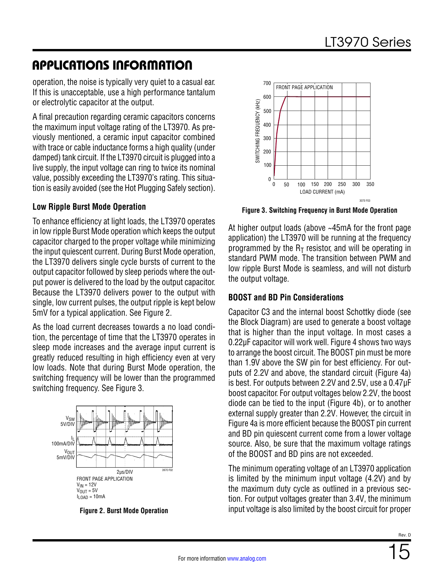operation, the noise is typically very quiet to a casual ear. If this is unacceptable, use a high performance tantalum or electrolytic capacitor at the output.

A final precaution regarding ceramic capacitors concerns the maximum input voltage rating of the LT3970. As previously mentioned, a ceramic input capacitor combined with trace or cable inductance forms a high quality (under damped) tank circuit. If the LT3970 circuit is plugged into a live supply, the input voltage can ring to twice its nominal value, possibly exceeding the LT3970's rating. This situation is easily avoided (see the [Hot Plugging Safely](#page-17-1) section).

#### **Low Ripple Burst Mode Operation**

To enhance efficiency at light loads, the LT3970 operates in low ripple Burst Mode operation which keeps the output capacitor charged to the proper voltage while minimizing the input quiescent current. During Burst Mode operation, the LT3970 delivers single cycle bursts of current to the output capacitor followed by sleep periods where the output power is delivered to the load by the output capacitor. Because the LT3970 delivers power to the output with single, low current pulses, the output ripple is kept below 5mV for a typical application. See [Figure 2](#page-14-0).

As the load current decreases towards a no load condition, the percentage of time that the LT3970 operates in sleep mode increases and the average input current is greatly reduced resulting in high efficiency even at very low loads. Note that during Burst Mode operation, the switching frequency will be lower than the programmed switching frequency. See [Figure 3](#page-14-1).

![](_page_14_Figure_7.jpeg)

**Figure 2. Burst Mode Operation**

![](_page_14_Figure_9.jpeg)

<span id="page-14-1"></span>**Figure 3. Switching Frequency in Burst Mode Operation**

At higher output loads (above ~45mA for the front page application) the LT3970 will be running at the frequency programmed by the  $R<sub>T</sub>$  resistor, and will be operating in standard PWM mode. The transition between PWM and low ripple Burst Mode is seamless, and will not disturb the output voltage.

#### **BOOST and BD Pin Considerations**

Capacitor C3 and the internal boost Schottky diode (see the [Block Diagram](#page-9-0)) are used to generate a boost voltage that is higher than the input voltage. In most cases a 0.22µF capacitor will work well. [Figure 4](#page-15-0) shows two ways to arrange the boost circuit. The BOOST pin must be more than 1.9V above the SW pin for best efficiency. For outputs of 2.2V and above, the standard circuit [\(Figure 4](#page-15-0)a) is best. For outputs between 2.2V and 2.5V, use a 0.47µF boost capacitor. For output voltages below 2.2V, the boost diode can be tied to the input [\(Figure 4](#page-15-0)b), or to another external supply greater than 2.2V. However, the circuit in [Figure 4](#page-15-0)a is more efficient because the BOOST pin current and BD pin quiescent current come from a lower voltage source. Also, be sure that the maximum voltage ratings of the BOOST and BD pins are not exceeded.

<span id="page-14-0"></span>The minimum operating voltage of an LT3970 application is limited by the minimum input voltage (4.2V) and by the maximum duty cycle as outlined in a previous section. For output voltages greater than 3.4V, the minimum input voltage is also limited by the boost circuit for proper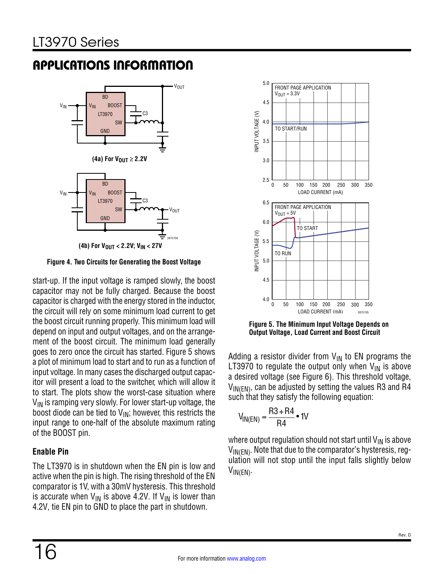![](_page_15_Figure_2.jpeg)

<span id="page-15-0"></span>**(4b) For VOUT < 2.2V; VIN < 27V**

**Figure 4. Two Circuits for Generating the Boost Voltage**

start-up. If the input voltage is ramped slowly, the boost capacitor may not be fully charged. Because the boost capacitor is charged with the energy stored in the inductor, the circuit will rely on some minimum load current to get the boost circuit running properly. This minimum load will depend on input and output voltages, and on the arrangement of the boost circuit. The minimum load generally goes to zero once the circuit has started. Figure 5 shows a plot of minimum load to start and to run as a function of input voltage. In many cases the discharged output capacitor will present a load to the switcher, which will allow it to start. The plots show the worst-case situation where  $V_{IN}$  is ramping very slowly. For lower start-up voltage, the boost diode can be tied to  $V_{IN}$ ; however, this restricts the input range to one-half of the absolute maximum rating of the BOOST pin.

### **Enable Pin**

The LT3970 is in shutdown when the EN pin is low and active when the pin is high. The rising threshold of the EN comparator is 1V, with a 30mV hysteresis. This threshold is accurate when  $V_{IN}$  is above 4.2V. If  $V_{IN}$  is lower than 4.2V, tie EN pin to GND to place the part in shutdown.

![](_page_15_Figure_8.jpeg)

**Figure 5. The Minimum Input Voltage Depends on Output Voltage, Load Current and Boost Circuit**

Adding a resistor divider from  $V_{IN}$  to EN programs the LT3970 to regulate the output only when  $V_{IN}$  is above a desired voltage (see [Figure 6](#page-16-0)). This threshold voltage,  $V_{IN(FN)}$ , can be adjusted by setting the values R3 and R4 such that they satisfy the following equation:

$$
V_{IN(EN)} = \frac{R3 + R4}{R4} \cdot 1V
$$

where output regulation should not start until  $V_{IN}$  is above  $V_{\text{IN}}(EN)$ . Note that due to the comparator's hysteresis, regulation will not stop until the input falls slightly below  $V_{IN(EN)}$ .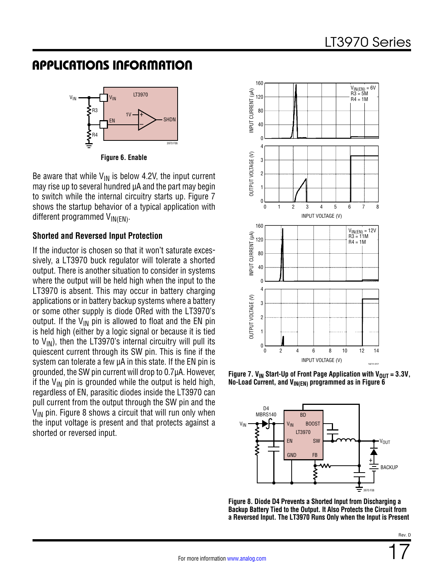![](_page_16_Figure_2.jpeg)

**Figure 6. Enable**

Be aware that while  $V_{IN}$  is below 4.2V, the input current may rise up to several hundred µA and the part may begin to switch while the internal circuitry starts up. [Figure 7](#page-16-1) shows the startup behavior of a typical application with different programmed  $V_{IN(EN)}$ .

#### **Shorted and Reversed Input Protection**

If the inductor is chosen so that it won't saturate excessively, a LT3970 buck regulator will tolerate a shorted output. There is another situation to consider in systems where the output will be held high when the input to the LT3970 is absent. This may occur in battery charging applications or in battery backup systems where a battery or some other supply is diode ORed with the LT3970's output. If the  $V_{IN}$  pin is allowed to float and the EN pin is held high (either by a logic signal or because it is tied to  $V_{IN}$ ), then the LT3970's internal circuitry will pull its quiescent current through its SW pin. This is fine if the system can tolerate a few  $\mu$ A in this state. If the EN pin is grounded, the SW pin current will drop to 0.7µA. However, if the  $V_{\text{IN}}$  pin is grounded while the output is held high, regardless of EN, parasitic diodes inside the LT3970 can pull current from the output through the SW pin and the  $V_{IN}$  pin. [Figure 8](#page-16-2) shows a circuit that will run only when the input voltage is present and that protects against a shorted or reversed input.

<span id="page-16-0"></span>![](_page_16_Figure_7.jpeg)

**Figure 7. V<sub>IN</sub> Start-Up of Front Page Application with V<sub>OUT</sub> =**  $3.3V$ **, No-Load Current, and V<sub>IN(EN)</sub> programmed as in [Figure 6](#page-16-0)** 

<span id="page-16-1"></span>![](_page_16_Figure_9.jpeg)

<span id="page-16-2"></span>**Figure 8. Diode D4 Prevents a Shorted Input from Discharging a Backup Battery Tied to the Output. It Also Protects the Circuit from a Reversed Input. The LT3970 Runs Only when the Input is Present**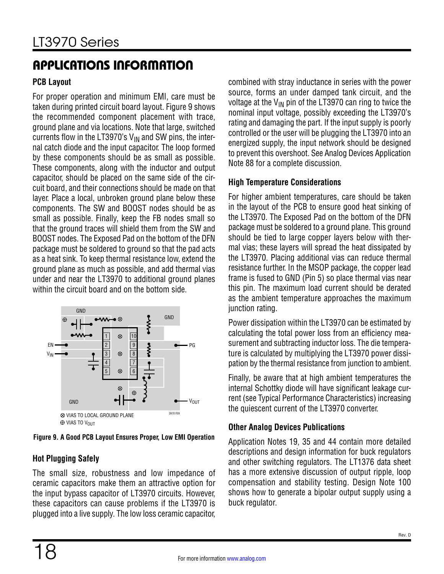#### <span id="page-17-0"></span>**PCB Layout**

For proper operation and minimum EMI, care must be taken during printed circuit board layout. [Figure 9](#page-17-2) shows the recommended component placement with trace, ground plane and via locations. Note that large, switched currents flow in the LT3970's  $V_{IN}$  and SW pins, the internal catch diode and the input capacitor. The loop formed by these components should be as small as possible. These components, along with the inductor and output capacitor, should be placed on the same side of the circuit board, and their connections should be made on that layer. Place a local, unbroken ground plane below these components. The SW and BOOST nodes should be as small as possible. Finally, keep the FB nodes small so that the ground traces will shield them from the SW and BOOST nodes. The Exposed Pad on the bottom of the DFN package must be soldered to ground so that the pad acts as a heat sink. To keep thermal resistance low, extend the ground plane as much as possible, and add thermal vias under and near the LT3970 to additional ground planes within the circuit board and on the bottom side.

![](_page_17_Figure_4.jpeg)

<span id="page-17-2"></span>**Figure 9. A Good PCB Layout Ensures Proper, Low EMI Operation**

### <span id="page-17-1"></span>**Hot Plugging Safely**

The small size, robustness and low impedance of ceramic capacitors make them an attractive option for the input bypass capacitor of LT3970 circuits. However, these capacitors can cause problems if the LT3970 is plugged into a live supply. The low loss ceramic capacitor,

combined with stray inductance in series with the power source, forms an under damped tank circuit, and the voltage at the  $V_{IN}$  pin of the LT3970 can ring to twice the nominal input voltage, possibly exceeding the LT3970's rating and damaging the part. If the input supply is poorly controlled or the user will be plugging the LT3970 into an energized supply, the input network should be designed to prevent this overshoot. See Analog Devices Application Note 88 for a complete discussion.

### **High Temperature Considerations**

For higher ambient temperatures, care should be taken in the layout of the PCB to ensure good heat sinking of the LT3970. The Exposed Pad on the bottom of the DFN package must be soldered to a ground plane. This ground should be tied to large copper layers below with thermal vias; these layers will spread the heat dissipated by the LT3970. Placing additional vias can reduce thermal resistance further. In the MSOP package, the copper lead frame is fused to GND (Pin 5) so place thermal vias near this pin. The maximum load current should be derated as the ambient temperature approaches the maximum junction rating.

Power dissipation within the LT3970 can be estimated by calculating the total power loss from an efficiency measurement and subtracting inductor loss. The die temperature is calculated by multiplying the LT3970 power dissipation by the thermal resistance from junction to ambient.

Finally, be aware that at high ambient temperatures the internal Schottky diode will have significant leakage current (see [Typical Performance Characteristics](#page-4-0)) increasing the quiescent current of the LT3970 converter.

### **Other Analog Devices Publications**

Application Notes 19, 35 and 44 contain more detailed descriptions and design information for buck regulators and other switching regulators. The LT1376 data sheet has a more extensive discussion of output ripple, loop compensation and stability testing. Design Note 100 shows how to generate a bipolar output supply using a buck regulator.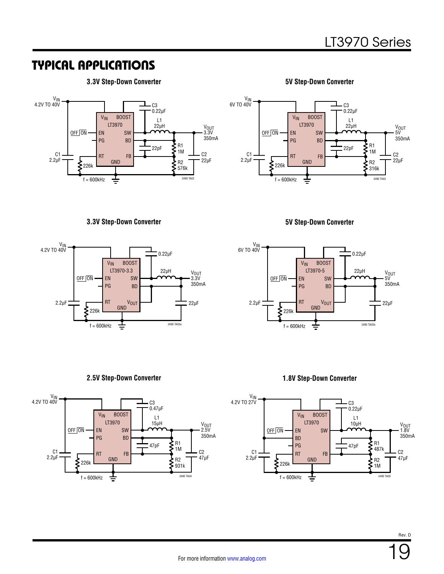# TYPICAL APPLICATIONS

#### **3.3V Step-Down Converter**

![](_page_18_Figure_3.jpeg)

**5V Step-Down Converter**

![](_page_18_Figure_5.jpeg)

#### **3.3V Step-Down Converter 5V Step-Down Converter**

![](_page_18_Figure_7.jpeg)

![](_page_18_Figure_9.jpeg)

#### **2.5V Step-Down Converter**

![](_page_18_Figure_11.jpeg)

#### **1.8V Step-Down Converter**

![](_page_18_Figure_13.jpeg)

19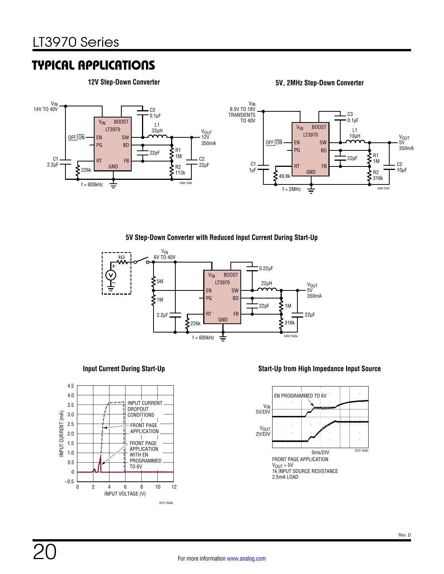### TYPICAL APPLICATIONS

**12V Step-Down Converter 5V, 2MHz Step-Down Converter**

![](_page_19_Figure_4.jpeg)

#### **5V Step-Down Converter with Reduced Input Current During Start-Up**

![](_page_19_Figure_6.jpeg)

#### **Input Current During Start-Up**

![](_page_19_Figure_8.jpeg)

#### **Start-Up from High Impedance Input Source**

![](_page_19_Figure_10.jpeg)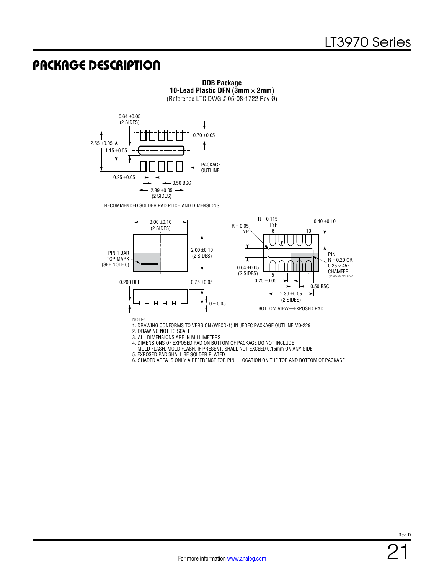### PACKAGE DESCRIPTION

**DDB Package 10-Lead Plastic DFN (3mm** × **2mm)** (Reference LTC DWG # 05-08-1722 Rev Ø)

![](_page_20_Figure_3.jpeg)

RECOMMENDED SOLDER PAD PITCH AND DIMENSIONS

![](_page_20_Figure_5.jpeg)

2. DRAWING NOT TO SCALE

3. ALL DIMENSIONS ARE IN MILLIMETERS

4. DIMENSIONS OF EXPOSED PAD ON BOTTOM OF PACKAGE DO NOT INCLUDE

MOLD FLASH. MOLD FLASH, IF PRESENT, SHALL NOT EXCEED 0.15mm ON ANY SIDE

5. EXPOSED PAD SHALL BE SOLDER PLATED

6. SHADED AREA IS ONLY A REFERENCE FOR PIN 1 LOCATION ON THE TOP AND BOTTOM OF PACKAGE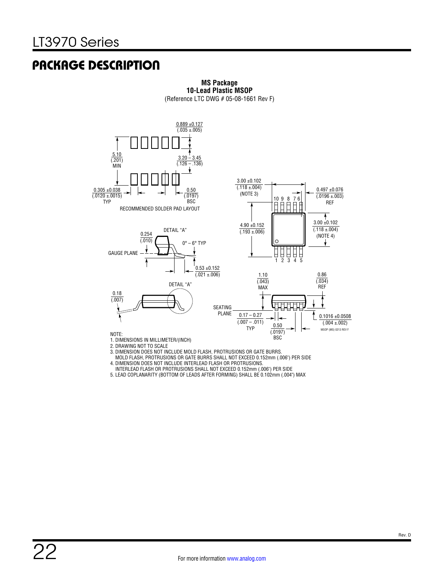### PACKAGE DESCRIPTION

![](_page_21_Figure_2.jpeg)

**MS Package 10-Lead Plastic MSOP** (Reference LTC DWG # 05-08-1661 Rev F)

3. DIMENSION DOES NOT INCLUDE MOLD FLASH, PROTRUSIONS OR GATE BURRS.

MOLD FLASH, PROTRUSIONS OR GATE BURRS SHALL NOT EXCEED 0.152mm (.006") PER SIDE

4. DIMENSION DOES NOT INCLUDE INTERLEAD FLASH OR PROTRUSIONS.

 INTERLEAD FLASH OR PROTRUSIONS SHALL NOT EXCEED 0.152mm (.006") PER SIDE 5. LEAD COPLANARITY (BOTTOM OF LEADS AFTER FORMING) SHALL BE 0.102mm (.004") MAX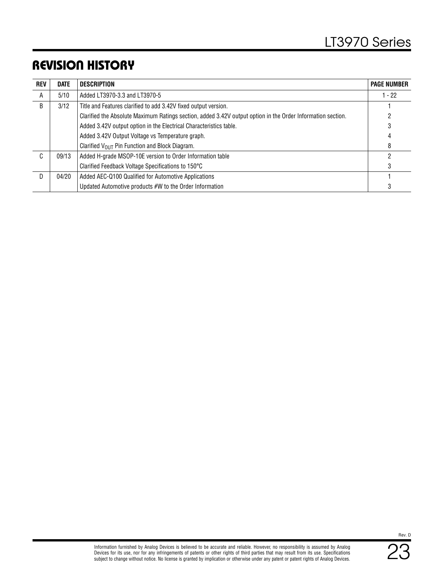# REVISION HISTORY

| <b>REV</b> | <b>DATE</b> | <b>DESCRIPTION</b>                                                                                          | <b>PAGE NUMBER</b> |
|------------|-------------|-------------------------------------------------------------------------------------------------------------|--------------------|
| A          | 5/10        | Added LT3970-3.3 and LT3970-5                                                                               | $1 - 22$           |
| B          | 3/12        | Title and Features clarified to add 3.42V fixed output version.                                             |                    |
|            |             | Clarified the Absolute Maximum Ratings section, added 3.42V output option in the Order Information section. |                    |
|            |             | Added 3.42V output option in the Electrical Characteristics table.                                          | 3                  |
|            |             | Added 3.42V Output Voltage vs Temperature graph.                                                            | 4                  |
|            |             | Clarified $V_{OIII}$ Pin Function and Block Diagram.                                                        | 8                  |
| C          | 09/13       | Added H-grade MSOP-10E version to Order Information table                                                   |                    |
|            |             | Clarified Feedback Voltage Specifications to 150°C                                                          | 3                  |
| D.         | 04/20       | Added AEC-Q100 Qualified for Automotive Applications                                                        |                    |
|            |             | Updated Automotive products #W to the Order Information                                                     |                    |